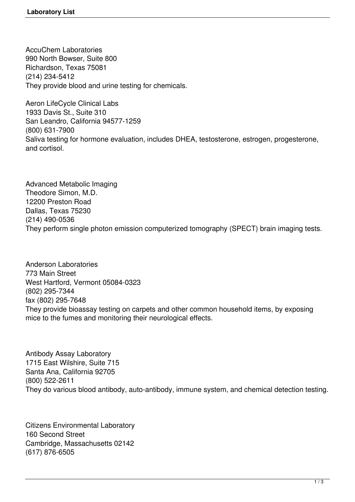AccuChem Laboratories 990 North Bowser, Suite 800 Richardson, Texas 75081 (214) 234-5412 They provide blood and urine testing for chemicals.

Aeron LifeCycle Clinical Labs 1933 Davis St., Suite 310 San Leandro, California 94577-1259 (800) 631-7900 Saliva testing for hormone evaluation, includes DHEA, testosterone, estrogen, progesterone, and cortisol.

Advanced Metabolic Imaging Theodore Simon, M.D. 12200 Preston Road Dallas, Texas 75230 (214) 490-0536 They perform single photon emission computerized tomography (SPECT) brain imaging tests.

Anderson Laboratories 773 Main Street West Hartford, Vermont 05084-0323 (802) 295-7344 fax (802) 295-7648 They provide bioassay testing on carpets and other common household items, by exposing mice to the fumes and monitoring their neurological effects.

Antibody Assay Laboratory 1715 East Wilshire, Suite 715 Santa Ana, California 92705 (800) 522-2611 They do various blood antibody, auto-antibody, immune system, and chemical detection testing.

Citizens Environmental Laboratory 160 Second Street Cambridge, Massachusetts 02142 (617) 876-6505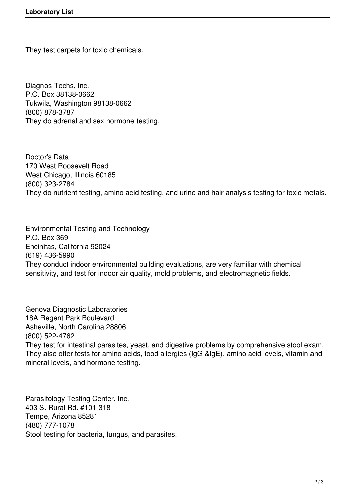They test carpets for toxic chemicals.

Diagnos-Techs, Inc. P.O. Box 38138-0662 Tukwila, Washington 98138-0662 (800) 878-3787 They do adrenal and sex hormone testing.

Doctor's Data 170 West Roosevelt Road West Chicago, Illinois 60185 (800) 323-2784 They do nutrient testing, amino acid testing, and urine and hair analysis testing for toxic metals.

Environmental Testing and Technology P.O. Box 369 Encinitas, California 92024 (619) 436-5990 They conduct indoor environmental building evaluations, are very familiar with chemical sensitivity, and test for indoor air quality, mold problems, and electromagnetic fields.

Genova Diagnostic Laboratories 18A Regent Park Boulevard Asheville, North Carolina 28806 (800) 522-4762 They test for intestinal parasites, yeast, and digestive problems by comprehensive stool exam. They also offer tests for amino acids, food allergies (IgG &IgE), amino acid levels, vitamin and mineral levels, and hormone testing.

Parasitology Testing Center, Inc. 403 S. Rural Rd. #101-318 Tempe, Arizona 85281 (480) 777-1078 Stool testing for bacteria, fungus, and parasites.